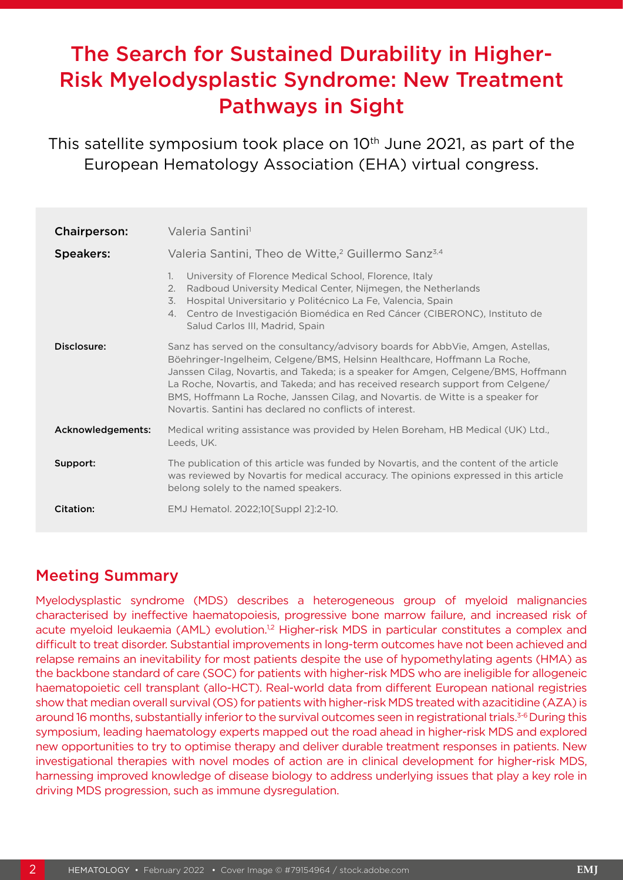# The Search for Sustained Durability in Higher-Risk Myelodysplastic Syndrome: New Treatment Pathways in Sight

This satellite symposium took place on 10<sup>th</sup> June 2021, as part of the European Hematology Association (EHA) virtual congress.

| <b>Chairperson:</b> | Valeria Santini <sup>1</sup>                                                                                                                                                                                                                                                                                                                                                                                                                                                        |  |
|---------------------|-------------------------------------------------------------------------------------------------------------------------------------------------------------------------------------------------------------------------------------------------------------------------------------------------------------------------------------------------------------------------------------------------------------------------------------------------------------------------------------|--|
| <b>Speakers:</b>    | Valeria Santini, Theo de Witte, <sup>2</sup> Guillermo Sanz <sup>3,4</sup>                                                                                                                                                                                                                                                                                                                                                                                                          |  |
|                     | $\mathbf{1}$ .<br>University of Florence Medical School, Florence, Italy<br>Radboud University Medical Center, Nijmegen, the Netherlands<br>2.<br>Hospital Universitario y Politécnico La Fe, Valencia, Spain<br>3.<br>4. Centro de Investigación Biomédica en Red Cáncer (CIBERONC), Instituto de<br>Salud Carlos III, Madrid, Spain                                                                                                                                               |  |
| Disclosure:         | Sanz has served on the consultancy/advisory boards for AbbVie, Amgen, Astellas,<br>Böehringer-Ingelheim, Celgene/BMS, Helsinn Healthcare, Hoffmann La Roche,<br>Janssen Cilag, Novartis, and Takeda; is a speaker for Amgen, Celgene/BMS, Hoffmann<br>La Roche, Novartis, and Takeda; and has received research support from Celgene/<br>BMS, Hoffmann La Roche, Janssen Cilag, and Novartis. de Witte is a speaker for<br>Novartis. Santini has declared no conflicts of interest. |  |
| Acknowledgements:   | Medical writing assistance was provided by Helen Boreham, HB Medical (UK) Ltd.,<br>Leeds, UK.                                                                                                                                                                                                                                                                                                                                                                                       |  |
| Support:            | The publication of this article was funded by Novartis, and the content of the article<br>was reviewed by Novartis for medical accuracy. The opinions expressed in this article<br>belong solely to the named speakers.                                                                                                                                                                                                                                                             |  |
| <b>Citation:</b>    | EMJ Hematol. 2022;10[Suppl 2]:2-10.                                                                                                                                                                                                                                                                                                                                                                                                                                                 |  |

### Meeting Summary

Myelodysplastic syndrome (MDS) describes a heterogeneous group of myeloid malignancies characterised by ineffective haematopoiesis, progressive bone marrow failure, and increased risk of acute myeloid leukaemia (AML) evolution.<sup>1,2</sup> Higher-risk MDS in particular constitutes a complex and difficult to treat disorder. Substantial improvements in long-term outcomes have not been achieved and relapse remains an inevitability for most patients despite the use of hypomethylating agents (HMA) as the backbone standard of care (SOC) for patients with higher-risk MDS who are ineligible for allogeneic haematopoietic cell transplant (allo-HCT). Real-world data from different European national registries show that median overall survival (OS) for patients with higher-risk MDS treated with azacitidine (AZA) is around 16 months, substantially inferior to the survival outcomes seen in registrational trials.<sup>3-6</sup> During this symposium, leading haematology experts mapped out the road ahead in higher-risk MDS and explored new opportunities to try to optimise therapy and deliver durable treatment responses in patients. New investigational therapies with novel modes of action are in clinical development for higher-risk MDS, harnessing improved knowledge of disease biology to address underlying issues that play a key role in driving MDS progression, such as immune dysregulation.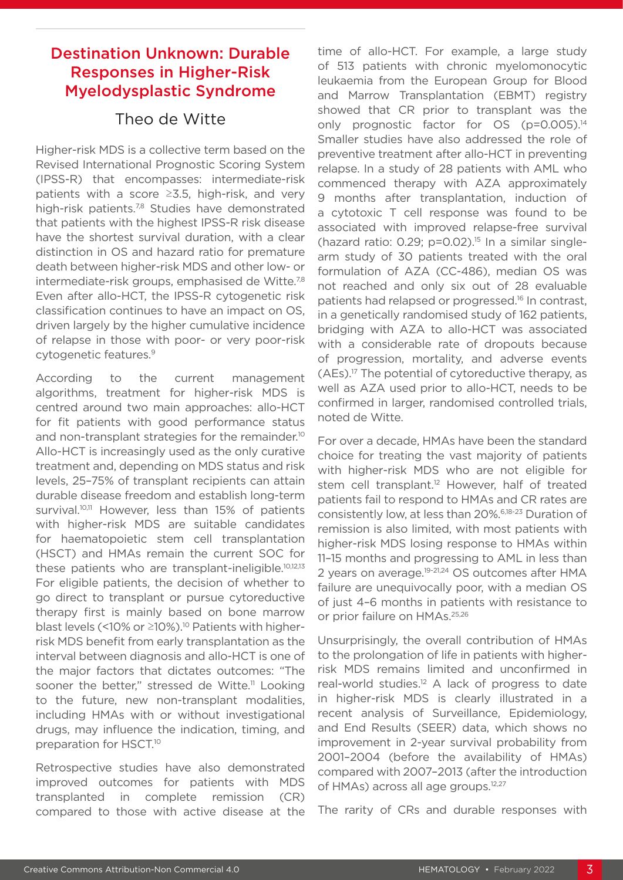### Destination Unknown: Durable Responses in Higher-Risk Myelodysplastic Syndrome

### Theo de Witte

Higher-risk MDS is a collective term based on the Revised International Prognostic Scoring System (IPSS-R) that encompasses: intermediate-risk patients with a score ≥3.5, high-risk, and very high-risk patients.<sup>7,8</sup> Studies have demonstrated that patients with the highest IPSS-R risk disease have the shortest survival duration, with a clear distinction in OS and hazard ratio for premature death between higher-risk MDS and other low- or intermediate-risk groups, emphasised de Witte.<sup>7,8</sup> Even after allo-HCT, the IPSS-R cytogenetic risk classification continues to have an impact on OS, driven largely by the higher cumulative incidence of relapse in those with poor- or very poor-risk cytogenetic features.9

According to the current management algorithms, treatment for higher-risk MDS is centred around two main approaches: allo-HCT for fit patients with good performance status and non-transplant strategies for the remainder.<sup>10</sup> Allo-HCT is increasingly used as the only curative treatment and, depending on MDS status and risk levels, 25–75% of transplant recipients can attain durable disease freedom and establish long-term survival.<sup>10,11</sup> However, less than 15% of patients with higher-risk MDS are suitable candidates for haematopoietic stem cell transplantation (HSCT) and HMAs remain the current SOC for these patients who are transplant-ineligible.<sup>10,12,13</sup> For eligible patients, the decision of whether to go direct to transplant or pursue cytoreductive therapy first is mainly based on bone marrow blast levels (<10% or ≥10%).10 Patients with higherrisk MDS benefit from early transplantation as the interval between diagnosis and allo-HCT is one of the major factors that dictates outcomes: "The sooner the better," stressed de Witte.<sup>11</sup> Looking to the future, new non-transplant modalities, including HMAs with or without investigational drugs, may influence the indication, timing, and preparation for HSCT.10

Retrospective studies have also demonstrated improved outcomes for patients with MDS transplanted in complete remission (CR) compared to those with active disease at the time of allo-HCT. For example, a large study of 513 patients with chronic myelomonocytic leukaemia from the European Group for Blood and Marrow Transplantation (EBMT) registry showed that CR prior to transplant was the only prognostic factor for OS (p=0.005).<sup>14</sup> Smaller studies have also addressed the role of preventive treatment after allo-HCT in preventing relapse. In a study of 28 patients with AML who commenced therapy with AZA approximately 9 months after transplantation, induction of a cytotoxic T cell response was found to be associated with improved relapse-free survival (hazard ratio:  $0.29$ ;  $p=0.02$ ).<sup>15</sup> In a similar singlearm study of 30 patients treated with the oral formulation of AZA (CC-486), median OS was not reached and only six out of 28 evaluable patients had relapsed or progressed.16 In contrast, in a genetically randomised study of 162 patients, bridging with AZA to allo-HCT was associated with a considerable rate of dropouts because of progression, mortality, and adverse events (AEs).17 The potential of cytoreductive therapy, as well as AZA used prior to allo-HCT, needs to be confirmed in larger, randomised controlled trials, noted de Witte.

For over a decade, HMAs have been the standard choice for treating the vast majority of patients with higher-risk MDS who are not eligible for stem cell transplant.<sup>12</sup> However, half of treated patients fail to respond to HMAs and CR rates are consistently low, at less than 20%.6,18-23 Duration of remission is also limited, with most patients with higher-risk MDS losing response to HMAs within 11–15 months and progressing to AML in less than 2 years on average.<sup>19-21,24</sup> OS outcomes after HMA failure are unequivocally poor, with a median OS of just 4–6 months in patients with resistance to or prior failure on HMAs.<sup>25,26</sup>

Unsurprisingly, the overall contribution of HMAs to the prolongation of life in patients with higherrisk MDS remains limited and unconfirmed in real-world studies.<sup>12</sup> A lack of progress to date in higher-risk MDS is clearly illustrated in a recent analysis of Surveillance, Epidemiology, and End Results (SEER) data, which shows no improvement in 2-year survival probability from 2001–2004 (before the availability of HMAs) compared with 2007–2013 (after the introduction of HMAs) across all age groups.<sup>12,27</sup>

The rarity of CRs and durable responses with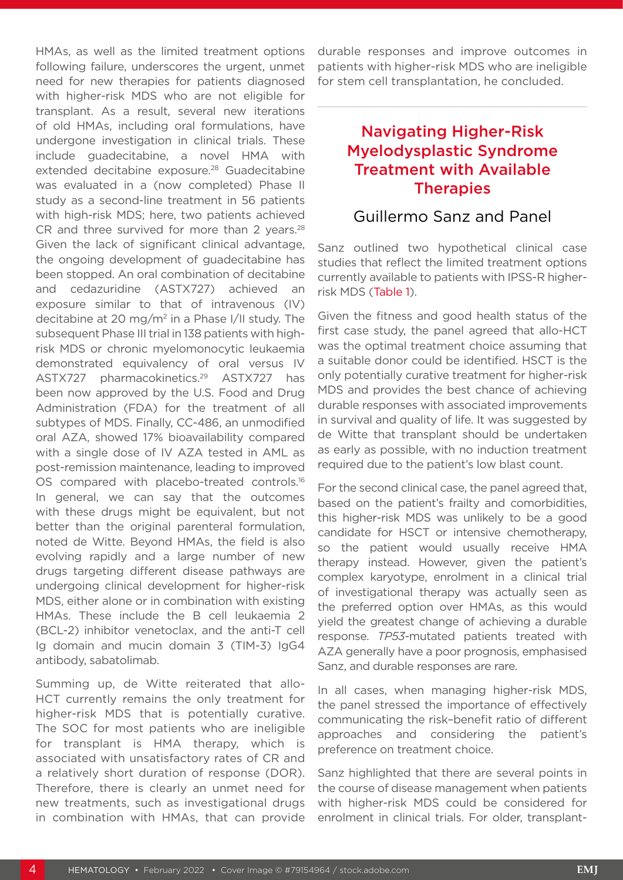HMAs, as well as the limited treatment options following failure, underscores the urgent, unmet need for new therapies for patients diagnosed with higher-risk MDS who are not eligible for transplant. As a result, several new iterations of old HMAs, including oral formulations, have undergone investigation in clinical trials. These include guadecitabine, a novel HMA with extended decitabine exposure.<sup>28</sup> Guadecitabine was evaluated in a (now completed) Phase II study as a second-line treatment in 56 patients with high-risk MDS; here, two patients achieved CR and three survived for more than 2 years.<sup>28</sup> Given the lack of significant clinical advantage, the ongoing development of guadecitabine has been stopped. An oral combination of decitabine and cedazuridine (ASTX727) achieved an exposure similar to that of intravenous (IV) decitabine at 20 mg/m2 in a Phase I/II study. The subsequent Phase III trial in 138 patients with highrisk MDS or chronic myelomonocytic leukaemia demonstrated equivalency of oral versus IV ASTX727 pharmacokinetics.<sup>29</sup> ASTX727 has been now approved by the U.S. Food and Drug Administration (FDA) for the treatment of all subtypes of MDS. Finally, CC-486, an unmodified oral AZA, showed 17% bioavailability compared with a single dose of IV AZA tested in AML as post-remission maintenance, leading to improved OS compared with placebo-treated controls.<sup>16</sup> In general, we can say that the outcomes with these drugs might be equivalent, but not better than the original parenteral formulation, noted de Witte. Beyond HMAs, the field is also evolving rapidly and a large number of new drugs targeting different disease pathways are undergoing clinical development for higher-risk MDS, either alone or in combination with existing HMAs. These include the B cell leukaemia 2 (BCL-2) inhibitor venetoclax, and the anti-T cell Ig domain and mucin domain 3 (TIM-3) IgG4 antibody, sabatolimab.

Summing up, de Witte reiterated that allo-HCT currently remains the only treatment for higher-risk MDS that is potentially curative. The SOC for most patients who are ineligible for transplant is HMA therapy, which is associated with unsatisfactory rates of CR and a relatively short duration of response (DOR). Therefore, there is clearly an unmet need for new treatments, such as investigational drugs in combination with HMAs, that can provide durable responses and improve outcomes in patients with higher-risk MDS who are ineligible for stem cell transplantation, he concluded.

# Navigating Higher-Risk Myelodysplastic Syndrome Treatment with Available **Therapies**

### Guillermo Sanz and Panel

Sanz outlined two hypothetical clinical case studies that reflect the limited treatment options currently available to patients with IPSS-R higherrisk MDS (Table 1).

Given the fitness and good health status of the first case study, the panel agreed that allo-HCT was the optimal treatment choice assuming that a suitable donor could be identified. HSCT is the only potentially curative treatment for higher-risk MDS and provides the best chance of achieving durable responses with associated improvements in survival and quality of life. It was suggested by de Witte that transplant should be undertaken as early as possible, with no induction treatment required due to the patient's low blast count.

For the second clinical case, the panel agreed that, based on the patient's frailty and comorbidities, this higher-risk MDS was unlikely to be a good candidate for HSCT or intensive chemotherapy, so the patient would usually receive HMA therapy instead. However, given the patient's complex karyotype, enrolment in a clinical trial of investigational therapy was actually seen as the preferred option over HMAs, as this would yield the greatest change of achieving a durable response. *TP53*-mutated patients treated with AZA generally have a poor prognosis, emphasised Sanz, and durable responses are rare.

In all cases, when managing higher-risk MDS, the panel stressed the importance of effectively communicating the risk–benefit ratio of different approaches and considering the patient's preference on treatment choice.

Sanz highlighted that there are several points in the course of disease management when patients with higher-risk MDS could be considered for enrolment in clinical trials. For older, transplant-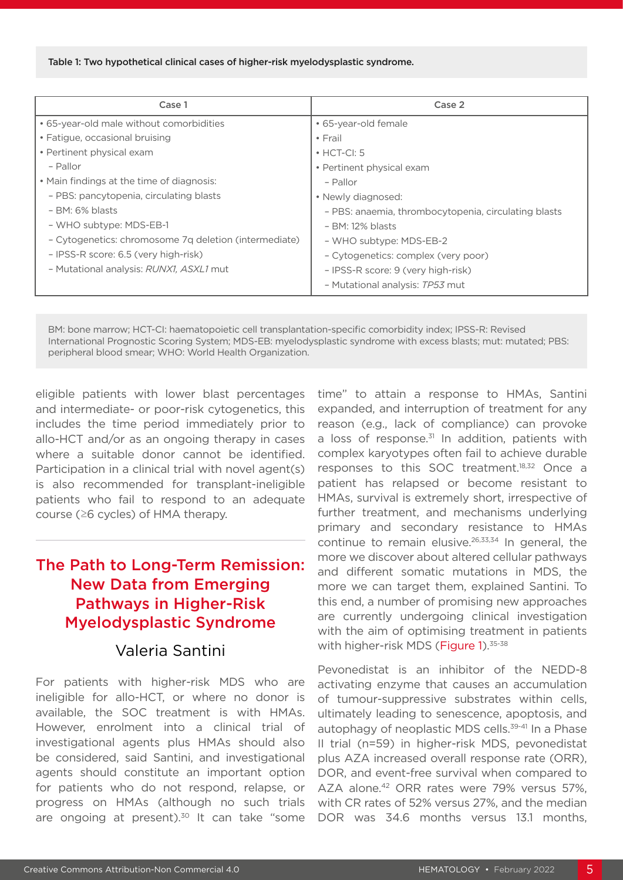#### Table 1: Two hypothetical clinical cases of higher-risk myelodysplastic syndrome.

| Case 1                                                | Case 2                                               |
|-------------------------------------------------------|------------------------------------------------------|
| • 65-year-old male without comorbidities              | • 65-year-old female                                 |
| • Fatigue, occasional bruising                        | $\cdot$ Frail                                        |
| • Pertinent physical exam                             | $\cdot$ HCT-CI: 5                                    |
| - Pallor                                              | • Pertinent physical exam                            |
| • Main findings at the time of diagnosis:             | - Pallor                                             |
| - PBS: pancytopenia, circulating blasts               | • Newly diagnosed:                                   |
| $-$ BM: 6% blasts                                     | - PBS: anaemia, thrombocytopenia, circulating blasts |
| - WHO subtype: MDS-EB-1                               | $-$ BM: 12% blasts                                   |
| - Cytogenetics: chromosome 7g deletion (intermediate) | - WHO subtype: MDS-EB-2                              |
| - IPSS-R score: 6.5 (very high-risk)                  | - Cytogenetics: complex (very poor)                  |
| - Mutational analysis: RUNX1, ASXL1 mut               | - IPSS-R score: 9 (very high-risk)                   |
|                                                       | - Mutational analysis: TP53 mut                      |

BM: bone marrow; HCT-CI: haematopoietic cell transplantation-specific comorbidity index; IPSS-R: Revised International Prognostic Scoring System; MDS-EB: myelodysplastic syndrome with excess blasts; mut: mutated; PBS: peripheral blood smear; WHO: World Health Organization.

eligible patients with lower blast percentages and intermediate- or poor-risk cytogenetics, this includes the time period immediately prior to allo-HCT and/or as an ongoing therapy in cases where a suitable donor cannot be identified. Participation in a clinical trial with novel agent(s) is also recommended for transplant-ineligible patients who fail to respond to an adequate course (≥6 cycles) of HMA therapy.

## The Path to Long-Term Remission: New Data from Emerging Pathways in Higher-Risk Myelodysplastic Syndrome

#### Valeria Santini

For patients with higher-risk MDS who are ineligible for allo-HCT, or where no donor is available, the SOC treatment is with HMAs. However, enrolment into a clinical trial of investigational agents plus HMAs should also be considered, said Santini, and investigational agents should constitute an important option for patients who do not respond, relapse, or progress on HMAs (although no such trials are ongoing at present). $30$  It can take "some

time" to attain a response to HMAs, Santini expanded, and interruption of treatment for any reason (e.g., lack of compliance) can provoke a loss of response.<sup>31</sup> In addition, patients with complex karyotypes often fail to achieve durable responses to this SOC treatment.<sup>18,32</sup> Once a patient has relapsed or become resistant to HMAs, survival is extremely short, irrespective of further treatment, and mechanisms underlying primary and secondary resistance to HMAs continue to remain elusive.<sup>26,33,34</sup> In general, the more we discover about altered cellular pathways and different somatic mutations in MDS, the more we can target them, explained Santini. To this end, a number of promising new approaches are currently undergoing clinical investigation with the aim of optimising treatment in patients with higher-risk MDS (Figure 1).<sup>35-38</sup>

Pevonedistat is an inhibitor of the NEDD-8 activating enzyme that causes an accumulation of tumour-suppressive substrates within cells, ultimately leading to senescence, apoptosis, and autophagy of neoplastic MDS cells.<sup>39-41</sup> In a Phase II trial (n=59) in higher-risk MDS, pevonedistat plus AZA increased overall response rate (ORR), DOR, and event-free survival when compared to AZA alone.<sup>42</sup> ORR rates were 79% versus 57%, with CR rates of 52% versus 27%, and the median DOR was 34.6 months versus 13.1 months,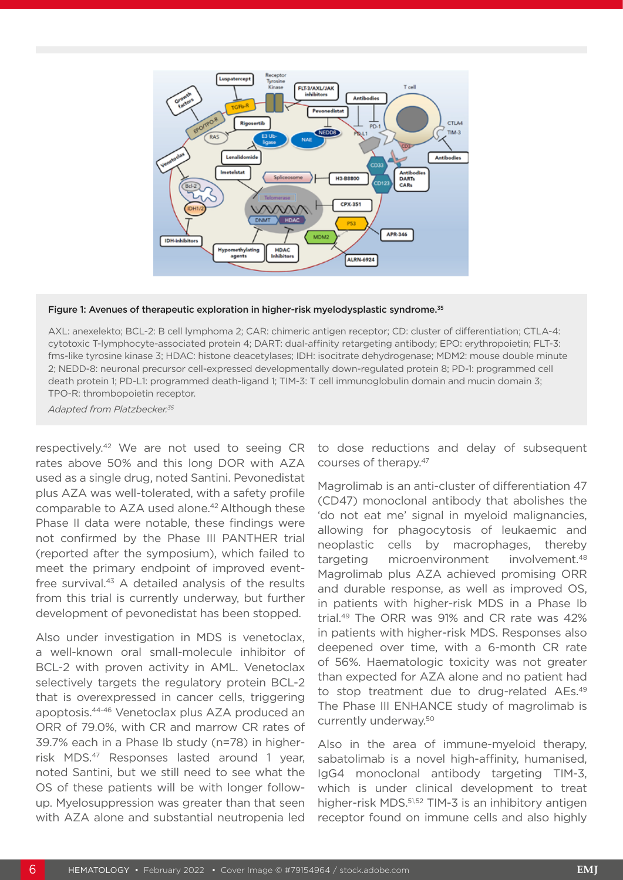

#### Figure 1: Avenues of therapeutic exploration in higher-risk myelodysplastic syndrome.<sup>35</sup>

AXL: anexelekto; BCL-2: B cell lymphoma 2; CAR: chimeric antigen receptor; CD: cluster of differentiation; CTLA-4: cytotoxic T-lymphocyte-associated protein 4; DART: dual-affinity retargeting antibody; EPO: erythropoietin; FLT-3: fms-like tyrosine kinase 3; HDAC: histone deacetylases; IDH: isocitrate dehydrogenase; MDM2: mouse double minute 2; NEDD-8: neuronal precursor cell-expressed developmentally down-regulated protein 8; PD-1: programmed cell death protein 1; PD-L1: programmed death-ligand 1; TIM-3: T cell immunoglobulin domain and mucin domain 3; TPO-R: thrombopoietin receptor.

*Adapted from Platzbecker.35*

respectively.42 We are not used to seeing CR rates above 50% and this long DOR with AZA used as a single drug, noted Santini. Pevonedistat plus AZA was well-tolerated, with a safety profile comparable to AZA used alone.<sup>42</sup> Although these Phase II data were notable, these findings were not confirmed by the Phase III PANTHER trial (reported after the symposium), which failed to meet the primary endpoint of improved eventfree survival.<sup>43</sup> A detailed analysis of the results from this trial is currently underway, but further development of pevonedistat has been stopped.

Also under investigation in MDS is venetoclax, a well-known oral small-molecule inhibitor of BCL-2 with proven activity in AML. Venetoclax selectively targets the regulatory protein BCL-2 that is overexpressed in cancer cells, triggering apoptosis.44-46 Venetoclax plus AZA produced an ORR of 79.0%, with CR and marrow CR rates of 39.7% each in a Phase Ib study (n=78) in higherrisk MDS.47 Responses lasted around 1 year, noted Santini, but we still need to see what the OS of these patients will be with longer followup. Myelosuppression was greater than that seen with AZA alone and substantial neutropenia led

to dose reductions and delay of subsequent courses of therapy.47

Magrolimab is an anti-cluster of differentiation 47 (CD47) monoclonal antibody that abolishes the 'do not eat me' signal in myeloid malignancies, allowing for phagocytosis of leukaemic and neoplastic cells by macrophages, thereby targeting microenvironment involvement.48 Magrolimab plus AZA achieved promising ORR and durable response, as well as improved OS, in patients with higher-risk MDS in a Phase Ib trial.49 The ORR was 91% and CR rate was 42% in patients with higher-risk MDS. Responses also deepened over time, with a 6-month CR rate of 56%. Haematologic toxicity was not greater than expected for AZA alone and no patient had to stop treatment due to drug-related AEs.<sup>49</sup> The Phase III ENHANCE study of magrolimab is currently underway.50

Also in the area of immune-myeloid therapy, sabatolimab is a novel high-affinity, humanised, IgG4 monoclonal antibody targeting TIM-3, which is under clinical development to treat higher-risk MDS.<sup>51,52</sup> TIM-3 is an inhibitory antigen receptor found on immune cells and also highly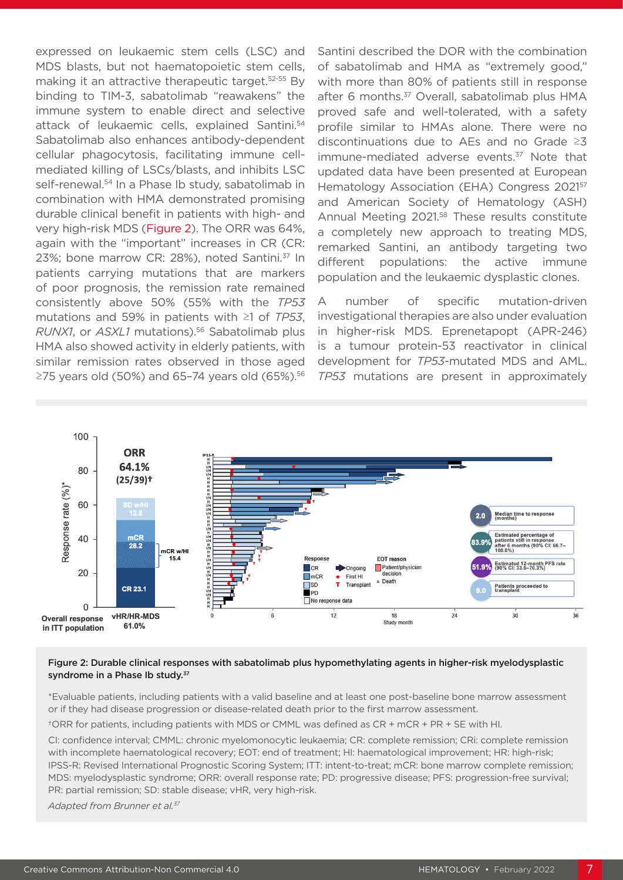expressed on leukaemic stem cells (LSC) and MDS blasts, but not haematopoietic stem cells, making it an attractive therapeutic target.52-55 By binding to TIM-3, sabatolimab "reawakens" the immune system to enable direct and selective attack of leukaemic cells, explained Santini.54 Sabatolimab also enhances antibody-dependent cellular phagocytosis, facilitating immune cellmediated killing of LSCs/blasts, and inhibits LSC self-renewal.<sup>54</sup> In a Phase Ib study, sabatolimab in combination with HMA demonstrated promising durable clinical benefit in patients with high- and very high-risk MDS (Figure 2). The ORR was 64%, again with the "important" increases in CR (CR: 23%; bone marrow CR: 28%), noted Santini.37 In patients carrying mutations that are markers of poor prognosis, the remission rate remained consistently above 50% (55% with the *TP53* mutations and 59% in patients with ≥1 of *TP53*, *RUNX1*, or *ASXL1* mutations).56 Sabatolimab plus HMA also showed activity in elderly patients, with similar remission rates observed in those aged  $≥$ 75 years old (50%) and 65-74 years old (65%).<sup>56</sup>

Santini described the DOR with the combination of sabatolimab and HMA as "extremely good," with more than 80% of patients still in response after 6 months.<sup>37</sup> Overall, sabatolimab plus HMA proved safe and well-tolerated, with a safety profile similar to HMAs alone. There were no discontinuations due to AEs and no Grade ≥3 immune-mediated adverse events.<sup>37</sup> Note that updated data have been presented at European Hematology Association (EHA) Congress 202157 and American Society of Hematology (ASH) Annual Meeting 2021.<sup>58</sup> These results constitute a completely new approach to treating MDS, remarked Santini, an antibody targeting two different populations: the active immune population and the leukaemic dysplastic clones.

A number of specific mutation-driven investigational therapies are also under evaluation in higher-risk MDS. Eprenetapopt (APR-246) is a tumour protein-53 reactivator in clinical development for *TP53*-mutated MDS and AML. *TP53* mutations are present in approximately



#### Figure 2: Durable clinical responses with sabatolimab plus hypomethylating agents in higher-risk myelodysplastic syndrome in a Phase Ib study.<sup>37</sup>

\*Evaluable patients, including patients with a valid baseline and at least one post-baseline bone marrow assessment or if they had disease progression or disease-related death prior to the first marrow assessment.

†ORR for patients, including patients with MDS or CMML was defined as CR + mCR + PR + SE with HI.

CI: confidence interval; CMML: chronic myelomonocytic leukaemia; CR: complete remission; CRi: complete remission with incomplete haematological recovery; EOT: end of treatment; HI: haematological improvement; HR: high-risk; IPSS-R: Revised International Prognostic Scoring System; ITT: intent-to-treat; mCR: bone marrow complete remission; MDS: myelodysplastic syndrome; ORR: overall response rate; PD: progressive disease; PFS: progression-free survival; PR: partial remission; SD: stable disease; vHR, very high-risk.

*Adapted from Brunner et al.37*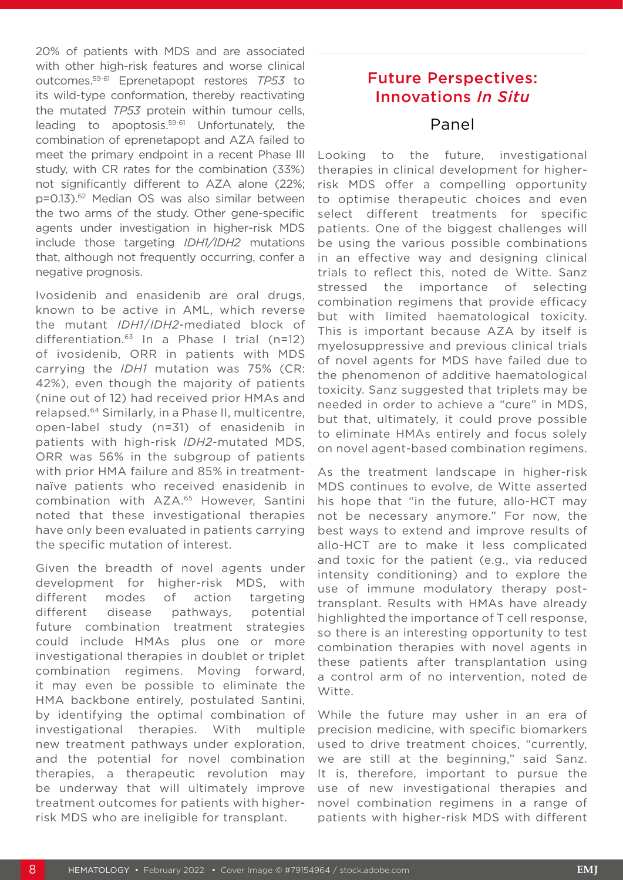20% of patients with MDS and are associated with other high-risk features and worse clinical outcomes.59-61 Eprenetapopt restores *TP53* to its wild-type conformation, thereby reactivating the mutated *TP53* protein within tumour cells, leading to apoptosis.59-61 Unfortunately, the combination of eprenetapopt and AZA failed to meet the primary endpoint in a recent Phase III study, with CR rates for the combination (33%) not significantly different to AZA alone (22%; p=0.13).62 Median OS was also similar between the two arms of the study. Other gene-specific agents under investigation in higher-risk MDS include those targeting *IDH1/IDH2* mutations that, although not frequently occurring, confer a negative prognosis.

Ivosidenib and enasidenib are oral drugs, known to be active in AML, which reverse the mutant *IDH1*/*IDH2*-mediated block of differentiation.63 In a Phase I trial (n=12) of ivosidenib, ORR in patients with MDS carrying the *IDH1* mutation was 75% (CR: 42%), even though the majority of patients (nine out of 12) had received prior HMAs and relapsed.64 Similarly, in a Phase II, multicentre, open-label study (n=31) of enasidenib in patients with high-risk *IDH2*-mutated MDS, ORR was 56% in the subgroup of patients with prior HMA failure and 85% in treatmentnaïve patients who received enasidenib in combination with AZA.65 However, Santini noted that these investigational therapies have only been evaluated in patients carrying the specific mutation of interest.

Given the breadth of novel agents under development for higher-risk MDS, with different modes of action targeting different disease pathways, potential future combination treatment strategies could include HMAs plus one or more investigational therapies in doublet or triplet combination regimens. Moving forward, it may even be possible to eliminate the HMA backbone entirely, postulated Santini, by identifying the optimal combination of investigational therapies. With multiple new treatment pathways under exploration, and the potential for novel combination therapies, a therapeutic revolution may be underway that will ultimately improve treatment outcomes for patients with higherrisk MDS who are ineligible for transplant.

# Future Perspectives: Innovations *In Situ*

#### Panel

Looking to the future, investigational therapies in clinical development for higherrisk MDS offer a compelling opportunity to optimise therapeutic choices and even select different treatments for specific patients. One of the biggest challenges will be using the various possible combinations in an effective way and designing clinical trials to reflect this, noted de Witte. Sanz stressed the importance of selecting combination regimens that provide efficacy but with limited haematological toxicity. This is important because AZA by itself is myelosuppressive and previous clinical trials of novel agents for MDS have failed due to the phenomenon of additive haematological toxicity. Sanz suggested that triplets may be needed in order to achieve a "cure" in MDS, but that, ultimately, it could prove possible to eliminate HMAs entirely and focus solely on novel agent-based combination regimens.

As the treatment landscape in higher-risk MDS continues to evolve, de Witte asserted his hope that "in the future, allo-HCT may not be necessary anymore." For now, the best ways to extend and improve results of allo-HCT are to make it less complicated and toxic for the patient (e.g., via reduced intensity conditioning) and to explore the use of immune modulatory therapy posttransplant. Results with HMAs have already highlighted the importance of T cell response, so there is an interesting opportunity to test combination therapies with novel agents in these patients after transplantation using a control arm of no intervention, noted de Witte.

While the future may usher in an era of precision medicine, with specific biomarkers used to drive treatment choices, "currently, we are still at the beginning," said Sanz. It is, therefore, important to pursue the use of new investigational therapies and novel combination regimens in a range of patients with higher-risk MDS with different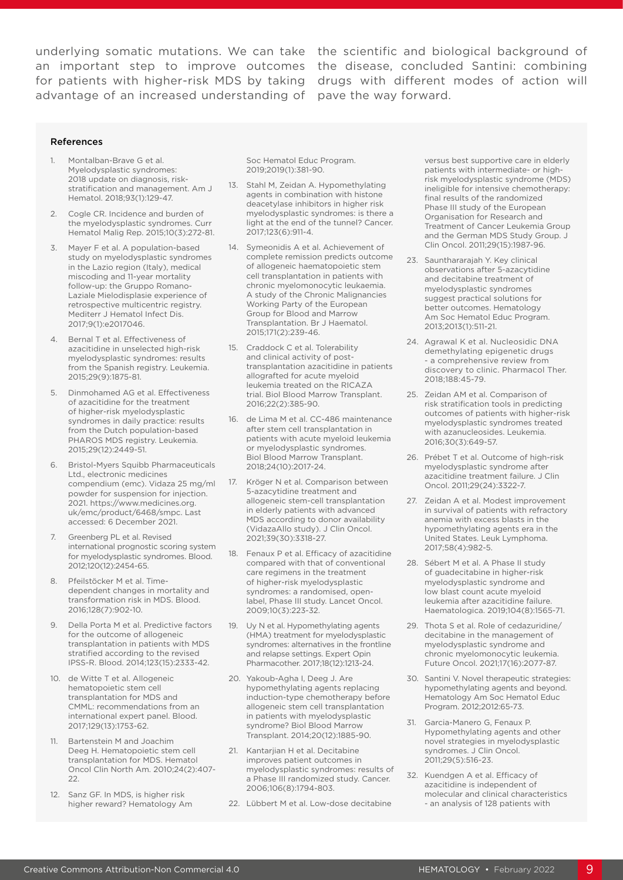underlying somatic mutations. We can take the scientific and biological background of an important step to improve outcomes the disease, concluded Santini: combining for patients with higher-risk MDS by taking drugs with different modes of action will advantage of an increased understanding of pave the way forward.

#### References

- 1. Montalban-Brave G et al. Myelodysplastic syndromes: 2018 update on diagnosis, riskstratification and management. Am J Hematol. 2018;93(1):129-47.
- 2. Cogle CR. Incidence and burden of the myelodysplastic syndromes. Curr Hematol Malig Rep. 2015;10(3):272-81.
- 3. Mayer F et al. A population-based study on myelodysplastic syndromes in the Lazio region (Italy), medical miscoding and 11-year mortality follow-up: the Gruppo Romano-Laziale Mielodisplasie experience of retrospective multicentric registry. Mediterr J Hematol Infect Dis. 2017;9(1):e2017046.
- 4. Bernal T et al. Effectiveness of azacitidine in unselected high-risk myelodysplastic syndromes: results from the Spanish registry. Leukemia. 2015;29(9):1875-81.
- 5. Dinmohamed AG et al. Effectiveness of azacitidine for the treatment of higher-risk myelodysplastic syndromes in daily practice: results from the Dutch population-based PHAROS MDS registry. Leukemia. 2015;29(12):2449-51.
- 6. Bristol-Myers Squibb Pharmaceuticals Ltd., electronic medicines compendium (emc). Vidaza 25 mg/ml powder for suspension for injection. 2021. https://www.medicines.org. uk/emc/product/6468/smpc. Last accessed: 6 December 2021.
- 7. Greenberg PL et al. Revised international prognostic scoring system for myelodysplastic syndromes. Blood. 2012;120(12):2454-65.
- 8. Pfeilstöcker M et al. Timedependent changes in mortality and transformation risk in MDS. Blood. 2016;128(7):902-10.
- 9. Della Porta M et al. Predictive factors for the outcome of allogeneic transplantation in patients with MDS stratified according to the revised IPSS-R. Blood. 2014;123(15):2333-42.
- 10. de Witte T et al. Allogeneic hematopoietic stem cell transplantation for MDS and CMML: recommendations from an international expert panel. Blood. 2017;129(13):1753-62.
- 11. Bartenstein M and Joachim Deeg H. Hematopoietic stem cell transplantation for MDS. Hematol Oncol Clin North Am. 2010;24(2):407- 22.
- 12. Sanz GF. In MDS, is higher risk higher reward? Hematology Am

Soc Hematol Educ Program. 2019;2019(1):381-90.

- 13. Stahl M, Zeidan A. Hypomethylating agents in combination with histone deacetylase inhibitors in higher risk myelodysplastic syndromes: is there a light at the end of the tunnel? Cancer. 2017;123(6):911-4.
- 14. Symeonidis A et al. Achievement of complete remission predicts outcome of allogeneic haematopoietic stem cell transplantation in patients with chronic myelomonocytic leukaemia. A study of the Chronic Malignancies Working Party of the European Group for Blood and Marrow Transplantation. Br J Haematol. 2015;171(2):239-46.
- 15. Craddock C et al. Tolerability and clinical activity of posttransplantation azacitidine in patients allografted for acute myeloid leukemia treated on the RICAZA trial. Biol Blood Marrow Transplant. 2016;22(2):385-90.
- 16. de Lima M et al. CC-486 maintenance after stem cell transplantation in patients with acute myeloid leukemia or myelodysplastic syndromes. Biol Blood Marrow Transplant. 2018;24(10):2017-24.
- 17. Kröger N et al. Comparison between 5-azacytidine treatment and allogeneic stem-cell transplantation in elderly patients with advanced MDS according to donor availability (VidazaAllo study). J Clin Oncol. 2021;39(30):3318-27.
- 18. Fenaux P et al. Efficacy of azacitidine compared with that of conventional care regimens in the treatment of higher-risk myelodysplastic syndromes: a randomised, openlabel, Phase III study. Lancet Oncol. 2009;10(3):223-32.
- 19. Uy N et al. Hypomethylating agents (HMA) treatment for myelodysplastic syndromes: alternatives in the frontline and relapse settings. Expert Opin Pharmacother. 2017;18(12):1213-24.
- 20. Yakoub-Agha I, Deeg J. Are hypomethylating agents replacing induction-type chemotherapy before allogeneic stem cell transplantation in patients with myelodysplastic syndrome? Biol Blood Marrow Transplant. 2014;20(12):1885-90.
- 21. Kantarijan H et al. Decitabine improves patient outcomes in myelodysplastic syndromes: results of a Phase III randomized study. Cancer. 2006;106(8):1794-803.
- 22. Lübbert M et al. Low-dose decitabine

versus best supportive care in elderly patients with intermediate- or highrisk myelodysplastic syndrome (MDS) ineligible for intensive chemotherapy: final results of the randomized Phase III study of the European Organisation for Research and Treatment of Cancer Leukemia Group and the German MDS Study Group. J Clin Oncol. 2011;29(15):1987-96.

- 23. Saunthararajah Y. Key clinical observations after 5-azacytidine and decitabine treatment of myelodysplastic syndromes suggest practical solutions for better outcomes. Hematology Am Soc Hematol Educ Program. 2013;2013(1):511-21.
- 24. Agrawal K et al. Nucleosidic DNA demethylating epigenetic drugs - a comprehensive review from discovery to clinic. Pharmacol Ther. 2018;188:45-79.
- 25. Zeidan AM et al. Comparison of risk stratification tools in predicting outcomes of patients with higher-risk myelodysplastic syndromes treated with azanucleosides. Leukemia. 2016;30(3):649-57.
- 26. Prébet T et al. Outcome of high-risk myelodysplastic syndrome after azacitidine treatment failure. J Clin Oncol. 2011;29(24):3322-7.
- 27. Zeidan A et al. Modest improvement in survival of patients with refractory anemia with excess blasts in the hypomethylating agents era in the United States. Leuk Lymphoma. 2017;58(4):982-5.
- 28. Sébert M et al. A Phase II study of guadecitabine in higher-risk myelodysplastic syndrome and low blast count acute myeloid leukemia after azacitidine failure. Haematologica. 2019;104(8):1565-71.
- 29. Thota S et al. Role of cedazuridine/ decitabine in the management of myelodysplastic syndrome and chronic myelomonocytic leukemia. Future Oncol. 2021;17(16):2077-87.
- 30. Santini V. Novel therapeutic strategies: hypomethylating agents and beyond. Hematology Am Soc Hematol Educ Program. 2012;2012:65-73.
- 31. Garcia-Manero G, Fenaux P. Hypomethylating agents and other novel strategies in myelodysplastic syndromes. J Clin Oncol. 2011;29(5):516-23.
- 32. Kuendgen A et al. Efficacy of azacitidine is independent of molecular and clinical characteristics - an analysis of 128 patients with